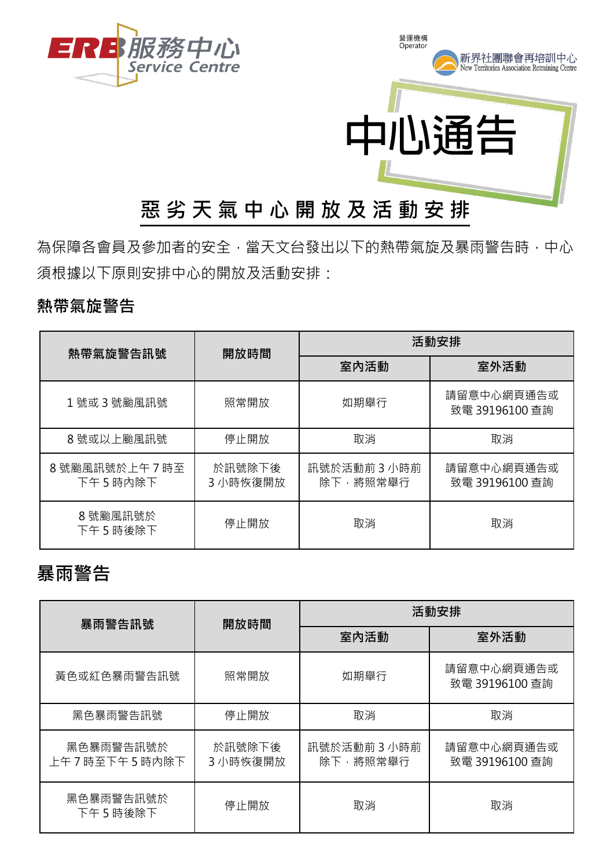

# 為保障各會員及參加者的安全,當天文台發出以下的熱帶氣旋及暴雨警告時,中心

### **熱帶氣旋警告**

須根據以下原則安排中心的開放及活動安排:

| 熱帶氣旋警告訊號                | 開放時間               | 活動安排                   |                              |
|-------------------------|--------------------|------------------------|------------------------------|
|                         |                    | 室內活動                   | 室外活動                         |
| 1號或3號颱風訊號               | 照常開放               | 如期舉行                   | 請留意中心網頁通告或<br>致電 39196100 查詢 |
| 8號或以上颱風訊號               | 停止開放               | 取消                     | 取消                           |
| 8號颱風訊號於上午7時至<br>下午5時内除下 | 於訊號除下後<br>3 小時恢復開放 | 訊號於活動前3小時前<br>除下,將照常舉行 | 請留意中心網頁通告或<br>致電 39196100 查詢 |
| 8號颱風訊號於<br>下午 5 時後除下    | 停止開放               | 取消                     | 取消                           |

#### **暴雨警告**

| 暴雨警告訊號                    | 開放時間               | 活動安排                   |                              |
|---------------------------|--------------------|------------------------|------------------------------|
|                           |                    | 室內活動                   | 室外活動                         |
| 黃色或紅色暴雨警告訊號               | 照常開放               | 如期舉行                   | 請留意中心網頁通告或<br>致電 39196100 查詢 |
| 黑色暴雨警告訊號                  | 停止開放               | 取消                     | 取消                           |
| 黑色暴雨警告訊號於<br>上午7時至下午5時內除下 | 於訊號除下後<br>3 小時恢復開放 | 訊號於活動前3小時前<br>除下,將照常舉行 | 請留意中心網頁通告或<br>致電 39196100 查詢 |
| 黑色暴雨警告訊號於<br>下午5時後除下      | 停止開放               | 取消                     | 取消                           |